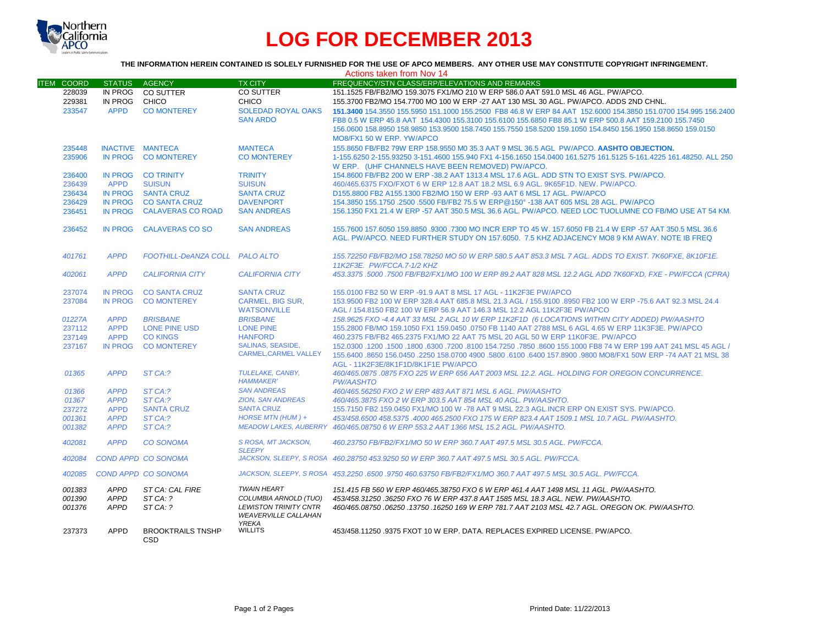

# **LOG FOR DECEMBER 2013**

## **THE INFORMATION HEREIN CONTAINED IS SOLELY FURNISHED FOR THE USE OF APCO MEMBERS. ANY OTHER USE MAY CONSTITUTE COPYRIGHT INFRINGEMENT.**

|                   |                  |                                |                                      | Actions taken from Nov 14                                                                                         |
|-------------------|------------------|--------------------------------|--------------------------------------|-------------------------------------------------------------------------------------------------------------------|
| <b>ITEM COORD</b> | <b>STATUS</b>    | AGENCY                         | <b>TX CITY</b>                       | <b>FREQUENCY/STN CLASS/ERP/ELEVATIONS AND REMARKS</b>                                                             |
| 228039            | IN PROG          | <b>CO SUTTER</b>               | CO SUTTER                            | 151.1525 FB/FB2/MO 159.3075 FX1/MO 210 W ERP 586.0 AAT 591.0 MSL 46 AGL, PW/APCO.                                 |
| 229381            | IN PROG          | CHICO                          | <b>CHICO</b>                         | 155.3700 FB2/MO 154.7700 MO 100 W ERP -27 AAT 130 MSL 30 AGL. PW/APCO. ADDS 2ND CHNL.                             |
| 233547            | <b>APPD</b>      | <b>CO MONTEREY</b>             | <b>SOLEDAD ROYAL OAKS</b>            | 151.3400 154.3550 155.5950 151.1000 155.2500 FB8 46.8 W ERP 84 AAT 152.6000 154.3850 151.0700 154.995 156.2400    |
|                   |                  |                                | <b>SAN ARDO</b>                      | FB8 0.5 W ERP 45.8 AAT 154.4300 155.3100 155.6100 155.6850 FB8 85.1 W ERP 500.8 AAT 159.2100 155.7450             |
|                   |                  |                                |                                      | 156.0600 158.8950 158.9850 153.9500 158.7450 155.7550 158.5200 159.1050 154.8450 156.1950 158.8650 159.0150       |
|                   |                  |                                |                                      | MO8/FX1 50 W ERP. YW/APCO                                                                                         |
| 235448            | INACTIVE MANTECA |                                | <b>MANTECA</b>                       | 155.8650 FB/FB2 79W ERP 158.9550 M0 35.3 AAT 9 MSL 36.5 AGL PW/APCO. AASHTO OBJECTION.                            |
| 235906            | <b>IN PROG</b>   | <b>CO MONTEREY</b>             | <b>CO MONTEREY</b>                   | 1-155.6250 2-155.93250 3-151.4600 155.940 FX1 4-156.1650 154.0400 161.5275 161.5125 5-161.4225 161.48250. ALL 250 |
|                   |                  |                                |                                      | W ERP. (UHF CHANNELS HAVE BEEN REMOVED) PW/APCO.                                                                  |
| 236400            | <b>IN PROG</b>   | <b>CO TRINITY</b>              | <b>TRINITY</b>                       | 154.8600 FB/FB2 200 W ERP -38.2 AAT 1313.4 MSL 17.6 AGL. ADD STN TO EXIST SYS. PW/APCO.                           |
| 236439            | <b>APPD</b>      | <b>SUISUN</b>                  | <b>SUISUN</b>                        | 460/465.6375 FXO/FXOT 6 W ERP 12.8 AAT 18.2 MSL 6.9 AGL. 9K65F1D. NEW. PW/APCO.                                   |
| 236434            | <b>IN PROG</b>   | <b>SANTA CRUZ</b>              | <b>SANTA CRUZ</b>                    | D155.8800 FB2 A155.1300 FB2/MO 150 W ERP -93 AAT 6 MSL 17 AGL. PW/APCO                                            |
| 236429            | <b>IN PROG</b>   | <b>CO SANTA CRUZ</b>           | <b>DAVENPORT</b>                     | 154.3850 155.1750 .2500 .5500 FB/FB2 75.5 W ERP@150° -138 AAT 605 MSL 28 AGL. PW/APCO                             |
| 236451            | <b>IN PROG</b>   | <b>CALAVERAS CO ROAD</b>       | <b>SAN ANDREAS</b>                   | 156.1350 FX1 21.4 W ERP -57 AAT 350.5 MSL 36.6 AGL. PW/APCO, NEED LOC TUOLUMNE CO FB/MO USE AT 54 KM.             |
|                   |                  |                                |                                      |                                                                                                                   |
| 236452            | <b>IN PROG</b>   | <b>CALAVERAS CO SO</b>         | <b>SAN ANDREAS</b>                   | 155.7600 157.6050 159.8850 .9300 .7300 MO INCR ERP TO 45 W. 157.6050 FB 21.4 W ERP -57 AAT 350.5 MSL 36.6         |
|                   |                  |                                |                                      | AGL, PW/APCO, NEED FURTHER STUDY ON 157,6050. 7.5 KHZ ADJACENCY MO8 9 KM AWAY, NOTE IB FREQ                       |
|                   |                  |                                |                                      |                                                                                                                   |
| 401761            | <b>APPD</b>      | FOOTHILL-DeANZA COLL PALO ALTO |                                      | 155.72250 FB/FB2/MO 158.78250 MO 50 W ERP 580.5 AAT 853.3 MSL 7 AGL. ADDS TO EXIST. 7K60FXE, 8K10F1E.             |
|                   |                  |                                |                                      | 11K2F3E. PW/FCCA.7-1/2 KHZ                                                                                        |
| 402061            | <b>APPD</b>      | <b>CALIFORNIA CITY</b>         | <b>CALIFORNIA CITY</b>               | 453.3375 .5000 .7500 FB/FB2/FX1/MO 100 W ERP 89.2 AAT 828 MSL 12.2 AGL ADD 7K60FXD, FXE - PW/FCCA (CPRA)          |
|                   |                  |                                |                                      |                                                                                                                   |
| 237074            | <b>IN PROG</b>   | <b>CO SANTA CRUZ</b>           | <b>SANTA CRUZ</b>                    | 155,0100 FB2 50 W ERP -91.9 AAT 8 MSL 17 AGL - 11K2F3E PW/APCO                                                    |
| 237084            | <b>IN PROG</b>   | <b>CO MONTEREY</b>             | <b>CARMEL, BIG SUR.</b>              | 153,9500 FB2 100 W ERP 328.4 AAT 685.8 MSL 21.3 AGL / 155,9100 .8950 FB2 100 W ERP -75.6 AAT 92.3 MSL 24.4        |
|                   |                  |                                | <b>WATSONVILLE</b>                   | AGL / 154.8150 FB2 100 W ERP 56.9 AAT 146.3 MSL 12.2 AGL 11K2F3E PW/APCO                                          |
| 01227A            | <b>APPD</b>      | <b>BRISBANE</b>                | <b>BRISBANE</b>                      | 158.9625 FXO -4.4 AAT 33 MSL 2 AGL 10 W ERP 11K2F1D (6 LOCATIONS WITHIN CITY ADDED) PW/AASHTO                     |
| 237112            | <b>APPD</b>      | <b>LONE PINE USD</b>           | <b>LONE PINE</b>                     | 155,2800 FB/MO 159,1050 FX1 159,0450 ,0750 FB 1140 AAT 2788 MSL 6 AGL 4.65 W ERP 11K3F3E, PW/APCO                 |
| 237149            | <b>APPD</b>      | <b>CO KINGS</b>                | <b>HANFORD</b>                       | 460.2375 FB/FB2 465.2375 FX1/MO 22 AAT 75 MSL 20 AGL 50 W ERP 11K0F3E. PW/APCO                                    |
| 237167            | <b>IN PROG</b>   | <b>CO MONTEREY</b>             | <b>SALINAS, SEASIDE,</b>             | 150 45 45 45 45 46 47 199 4 47 199 4 47 152.0300 154.7250 17850 17850 17860 155.1000 158 74 36 47 199 4 17 17 1   |
|                   |                  |                                | <b>CARMEL.CARMEL VALLEY</b>          | 155,6400,8650 156,0450 .2250 158,0700 4900 .5800 .6100 .6400 157,8900 .9800 MO8/FX1 50W ERP -74 AAT 21 MSL 38     |
|                   |                  |                                |                                      | AGL - 11K2F3E/8K1F1D/8K1F1E PW/APCO                                                                               |
| 01365             | <b>APPD</b>      | ST CA:?                        | TULELAKE, CANBY,                     | 460/465.0875 .0875 FXO 225 W ERP 656 AAT 2003 MSL 12.2. AGL. HOLDING FOR OREGON CONCURRENCE.                      |
|                   |                  |                                | <b>HAMMAKER'</b>                     | <b>PW/AASHTO</b>                                                                                                  |
| 01366             | <b>APPD</b>      | ST CA:?                        | <b>SAN ANDREAS</b>                   | 460/465.56250 FXO 2 W ERP 483 AAT 871 MSL 6 AGL, PW/AASHTO                                                        |
| 01367             | <b>APPD</b>      | ST CA:?                        | <b>ZION, SAN ANDREAS</b>             | 460/465.3875 FXO 2 W ERP 303.5 AAT 854 MSL 40 AGL. PW/AASHTO.                                                     |
| 237272            | <b>APPD</b>      | <b>SANTA CRUZ</b>              | <b>SANTA CRUZ</b>                    | 155,7150 FB2 159,0450 FX1/MO 100 W -78 AAT 9 MSL 22.3 AGL.INCR ERP ON EXIST SYS. PW/APCO.                         |
| 001361            | <b>APPD</b>      | ST CA:?                        | HORSE MTN (HUM) +                    | 453/458.6500 458.5375 .4000 465.2500 FXO 175 W ERP 823.4 AAT 1509.1 MSL 10.7 AGL. PW/AASHTO.                      |
| 001382            | <b>APPD</b>      | ST CA:?                        |                                      | MEADOW LAKES, AUBERRY 460/465.08750 6 W ERP 553.2 AAT 1366 MSL 15.2 AGL. PW/AASHTO.                               |
|                   |                  |                                |                                      |                                                                                                                   |
| 402081            | <b>APPD</b>      | <b>CO SONOMA</b>               | S ROSA. MT JACKSON.<br><b>SLEEPY</b> | 460.23750 FB/FB2/FX1/MO 50 W ERP 360.7 AAT 497.5 MSL 30.5 AGL. PW/FCCA.                                           |
| 402084            |                  | COND APPD CO SONOMA            |                                      | JACKSON, SLEEPY, S ROSA 460.28750 453.9250 50 W ERP 360.7 AAT 497.5 MSL 30.5 AGL, PW/FCCA,                        |
|                   |                  |                                |                                      |                                                                                                                   |
| 402085            |                  | <b>COND APPD CO SONOMA</b>     |                                      | JACKSON, SLEEPY, S ROSA 453.2250.6500.9750 460.63750 FB/FB2/FX1/MO 360.7 AAT 497.5 MSL 30.5 AGL, PW/FCCA,         |
| 001383            | <b>APPD</b>      | ST CA: CAL FIRE                | <b>TWAIN HEART</b>                   | 151.415 FB 560 W ERP 460/465.38750 FXO 6 W ERP 461.4 AAT 1498 MSL 11 AGL. PW/AASHTO.                              |
| 001390            | <b>APPD</b>      | STCA: ?                        | COLUMBIA ARNOLD (TUO)                | 453/458.31250 .36250 FXO 76 W ERP 437.8 AAT 1585 MSL 18.3 AGL. NEW. PW/AASHTO.                                    |
| 001376            | <b>APPD</b>      | STCA: ?                        | <b>LEWISTON TRINITY CNTR</b>         | 460/465.08750 .06250 .13750 .16250 169 W ERP 781.7 AAT 2103 MSL 42.7 AGL. OREGON OK. PW/AASHTO.                   |
|                   |                  |                                | <b>WEAVERVILLE CALLAHAN</b>          |                                                                                                                   |
|                   |                  |                                | <b>YREKA</b>                         |                                                                                                                   |
| 237373            | <b>APPD</b>      | <b>BROOKTRAILS TNSHP</b>       | <b>WILLITS</b>                       | 453/458.11250.9375 FXOT 10 W ERP, DATA, REPLACES EXPIRED LICENSE, PW/APCO,                                        |
|                   |                  | CSD                            |                                      |                                                                                                                   |